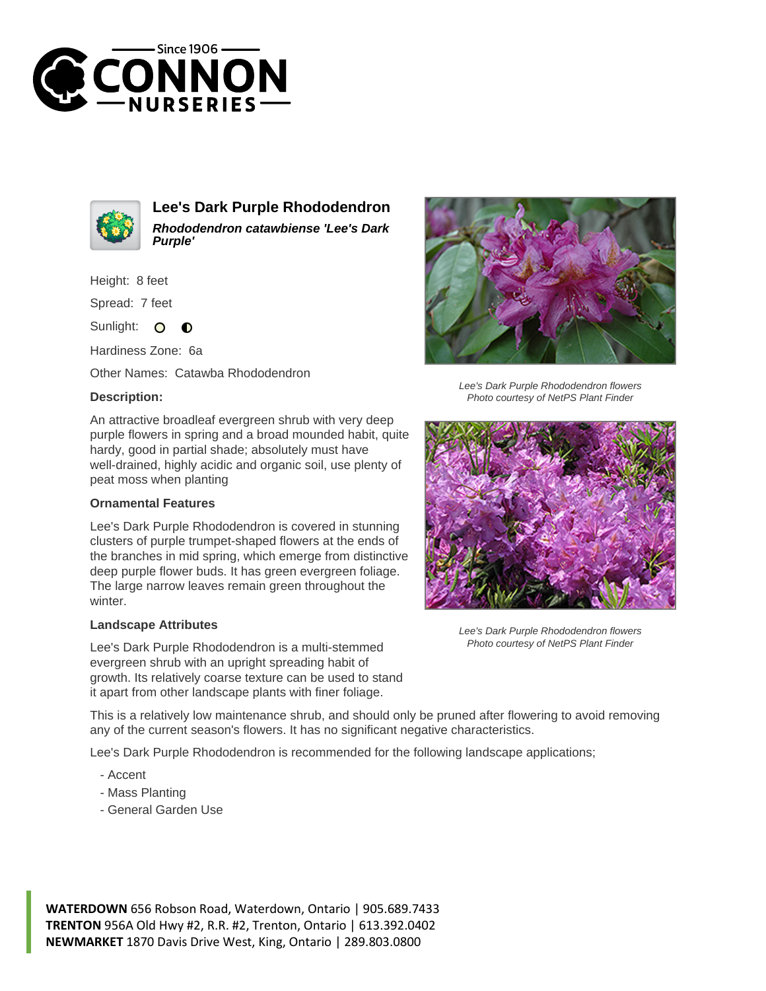



**Lee's Dark Purple Rhododendron Rhododendron catawbiense 'Lee's Dark Purple'**

Height: 8 feet

Spread: 7 feet

Sunlight:  $\circ$  $\bullet$ 

Hardiness Zone: 6a

Other Names: Catawba Rhododendron

## **Description:**

An attractive broadleaf evergreen shrub with very deep purple flowers in spring and a broad mounded habit, quite hardy, good in partial shade; absolutely must have well-drained, highly acidic and organic soil, use plenty of peat moss when planting

## **Ornamental Features**

Lee's Dark Purple Rhododendron is covered in stunning clusters of purple trumpet-shaped flowers at the ends of the branches in mid spring, which emerge from distinctive deep purple flower buds. It has green evergreen foliage. The large narrow leaves remain green throughout the winter.

## **Landscape Attributes**

Lee's Dark Purple Rhododendron is a multi-stemmed evergreen shrub with an upright spreading habit of growth. Its relatively coarse texture can be used to stand it apart from other landscape plants with finer foliage.



Lee's Dark Purple Rhododendron flowers Photo courtesy of NetPS Plant Finder



Lee's Dark Purple Rhododendron flowers Photo courtesy of NetPS Plant Finder

This is a relatively low maintenance shrub, and should only be pruned after flowering to avoid removing any of the current season's flowers. It has no significant negative characteristics.

Lee's Dark Purple Rhododendron is recommended for the following landscape applications;

- Accent
- Mass Planting
- General Garden Use

**WATERDOWN** 656 Robson Road, Waterdown, Ontario | 905.689.7433 **TRENTON** 956A Old Hwy #2, R.R. #2, Trenton, Ontario | 613.392.0402 **NEWMARKET** 1870 Davis Drive West, King, Ontario | 289.803.0800